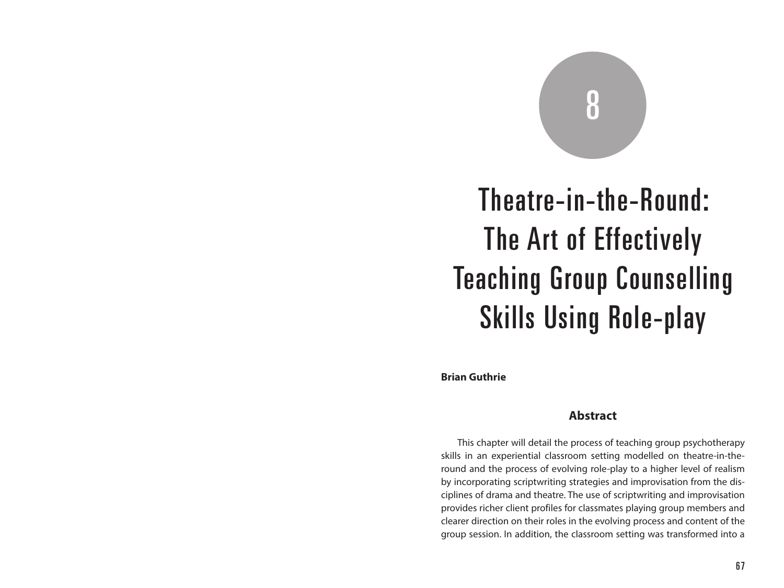# 8

# Theatre-in-the-Round: The Art of Effectively Teaching Group Counselling Skills Using Role-play

**Brian Guthrie**

## **Abstract**

This chapter will detail the process of teaching group psychotherapy skills in an experiential classroom setting modelled on theatre-in-theround and the process of evolving role-play to a higher level of realism by incorporating scriptwriting strategies and improvisation from the disciplines of drama and theatre. The use of scriptwriting and improvisation provides richer client profiles for classmates playing group members and clearer direction on their roles in the evolving process and content of the group session. In addition, the classroom setting was transformed into a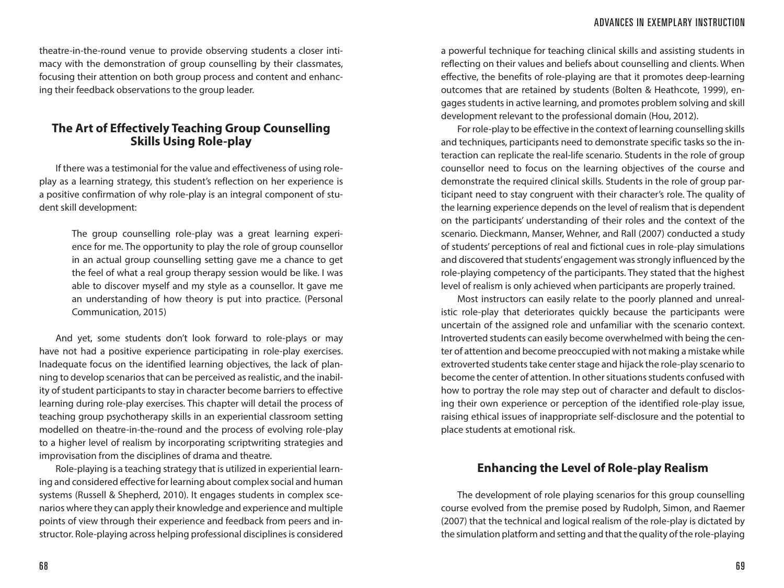theatre-in-the-round venue to provide observing students a closer intimacy with the demonstration of group counselling by their classmates, focusing their attention on both group process and content and enhancing their feedback observations to the group leader.

# **The Art of Effectively Teaching Group Counselling Skills Using Role-play**

If there was a testimonial for the value and effectiveness of using roleplay as a learning strategy, this student's reflection on her experience is a positive confirmation of why role-play is an integral component of student skill development:

> The group counselling role-play was a great learning experience for me. The opportunity to play the role of group counsellor in an actual group counselling setting gave me a chance to get the feel of what a real group therapy session would be like. I was able to discover myself and my style as a counsellor. It gave me an understanding of how theory is put into practice. (Personal Communication, 2015)

And yet, some students don't look forward to role-plays or may have not had a positive experience participating in role-play exercises. Inadequate focus on the identified learning objectives, the lack of planning to develop scenarios that can be perceived as realistic, and the inability of student participants to stay in character become barriers to effective learning during role-play exercises. This chapter will detail the process of teaching group psychotherapy skills in an experiential classroom setting modelled on theatre-in-the-round and the process of evolving role-play to a higher level of realism by incorporating scriptwriting strategies and improvisation from the disciplines of drama and theatre.

Role-playing is a teaching strategy that is utilized in experiential learning and considered effective for learning about complex social and human systems (Russell & Shepherd, 2010). It engages students in complex scenarios where they can apply their knowledge and experience and multiple points of view through their experience and feedback from peers and instructor. Role-playing across helping professional disciplines is considered

a powerful technique for teaching clinical skills and assisting students in reflecting on their values and beliefs about counselling and clients. When effective, the benefits of role-playing are that it promotes deep-learning outcomes that are retained by students (Bolten & Heathcote, 1999), engages students in active learning, and promotes problem solving and skill development relevant to the professional domain (Hou, 2012).

For role-play to be effective in the context of learning counselling skills and techniques, participants need to demonstrate specific tasks so the interaction can replicate the real-life scenario. Students in the role of group counsellor need to focus on the learning objectives of the course and demonstrate the required clinical skills. Students in the role of group participant need to stay congruent with their character's role. The quality of the learning experience depends on the level of realism that is dependent on the participants' understanding of their roles and the context of the scenario. Dieckmann, Manser, Wehner, and Rall (2007) conducted a study of students' perceptions of real and fictional cues in role-play simulations and discovered that students' engagement was strongly influenced by the role-playing competency of the participants. They stated that the highest level of realism is only achieved when participants are properly trained.

Most instructors can easily relate to the poorly planned and unrealistic role-play that deteriorates quickly because the participants were uncertain of the assigned role and unfamiliar with the scenario context. Introverted students can easily become overwhelmed with being the center of attention and become preoccupied with not making a mistake while extroverted students take center stage and hijack the role-play scenario to become the center of attention. In other situations students confused with how to portray the role may step out of character and default to disclosing their own experience or perception of the identified role-play issue, raising ethical issues of inappropriate self-disclosure and the potential to place students at emotional risk.

### **Enhancing the Level of Role-play Realism**

The development of role playing scenarios for this group counselling course evolved from the premise posed by Rudolph, Simon, and Raemer (2007) that the technical and logical realism of the role-play is dictated by the simulation platform and setting and that the quality of the role-playing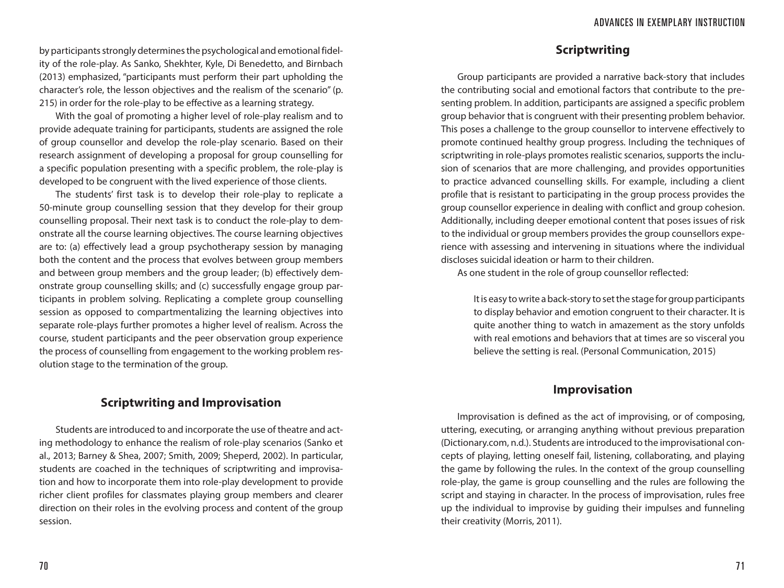by participants strongly determines the psychological and emotional fidelity of the role-play. As Sanko, Shekhter, Kyle, Di Benedetto, and Birnbach (2013) emphasized, "participants must perform their part upholding the character's role, the lesson objectives and the realism of the scenario" (p. 215) in order for the role-play to be effective as a learning strategy.

With the goal of promoting a higher level of role-play realism and to provide adequate training for participants, students are assigned the role of group counsellor and develop the role-play scenario. Based on their research assignment of developing a proposal for group counselling for a specific population presenting with a specific problem, the role-play is developed to be congruent with the lived experience of those clients.

The students' first task is to develop their role-play to replicate a 50-minute group counselling session that they develop for their group counselling proposal. Their next task is to conduct the role-play to demonstrate all the course learning objectives. The course learning objectives are to: (a) effectively lead a group psychotherapy session by managing both the content and the process that evolves between group members and between group members and the group leader; (b) effectively demonstrate group counselling skills; and (c) successfully engage group participants in problem solving. Replicating a complete group counselling session as opposed to compartmentalizing the learning objectives into separate role-plays further promotes a higher level of realism. Across the course, student participants and the peer observation group experience the process of counselling from engagement to the working problem resolution stage to the termination of the group.

# **Scriptwriting and Improvisation**

Students are introduced to and incorporate the use of theatre and acting methodology to enhance the realism of role-play scenarios (Sanko et al., 2013; Barney & Shea, 2007; Smith, 2009; Sheperd, 2002). In particular, students are coached in the techniques of scriptwriting and improvisation and how to incorporate them into role-play development to provide richer client profiles for classmates playing group members and clearer direction on their roles in the evolving process and content of the group session.

# **Scriptwriting**

Group participants are provided a narrative back-story that includes the contributing social and emotional factors that contribute to the presenting problem. In addition, participants are assigned a specific problem group behavior that is congruent with their presenting problem behavior. This poses a challenge to the group counsellor to intervene effectively to promote continued healthy group progress. Including the techniques of scriptwriting in role-plays promotes realistic scenarios, supports the inclusion of scenarios that are more challenging, and provides opportunities to practice advanced counselling skills. For example, including a client profile that is resistant to participating in the group process provides the group counsellor experience in dealing with conflict and group cohesion. Additionally, including deeper emotional content that poses issues of risk to the individual or group members provides the group counsellors experience with assessing and intervening in situations where the individual discloses suicidal ideation or harm to their children.

As one student in the role of group counsellor reflected:

It is easy to write a back-story to set the stage for group participants to display behavior and emotion congruent to their character. It is quite another thing to watch in amazement as the story unfolds with real emotions and behaviors that at times are so visceral you believe the setting is real. (Personal Communication, 2015)

#### **Improvisation**

Improvisation is defined as the act of improvising, or of composing, uttering, executing, or arranging anything without previous preparation (Dictionary.com, n.d.). Students are introduced to the improvisational concepts of playing, letting oneself fail, listening, collaborating, and playing the game by following the rules. In the context of the group counselling role-play, the game is group counselling and the rules are following the script and staying in character. In the process of improvisation, rules free up the individual to improvise by guiding their impulses and funneling their creativity (Morris, 2011).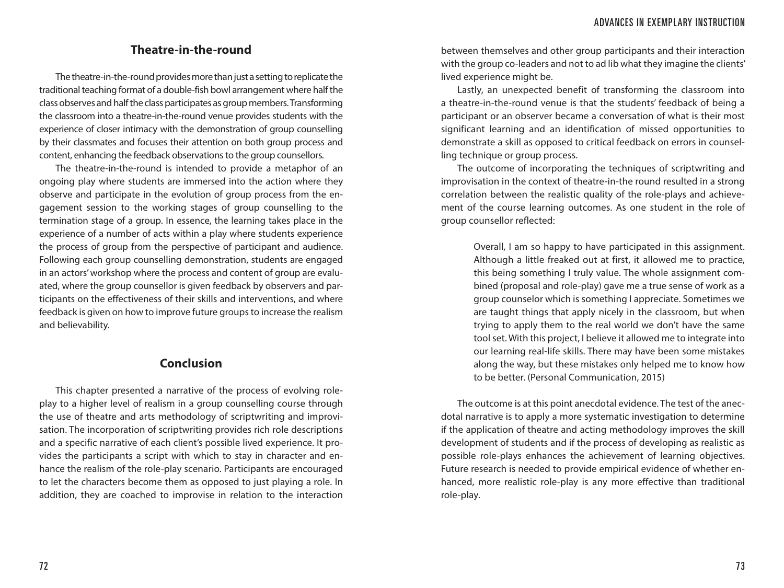#### **Theatre-in-the-round**

The theatre-in-the-round provides more than just a setting to replicate the traditional teaching format of a double-fish bowl arrangement where half the class observes and half the class participates as group members. Transforming the classroom into a theatre-in-the-round venue provides students with the experience of closer intimacy with the demonstration of group counselling by their classmates and focuses their attention on both group process and content, enhancing the feedback observations to the group counsellors.

The theatre-in-the-round is intended to provide a metaphor of an ongoing play where students are immersed into the action where they observe and participate in the evolution of group process from the engagement session to the working stages of group counselling to the termination stage of a group. In essence, the learning takes place in the experience of a number of acts within a play where students experience the process of group from the perspective of participant and audience. Following each group counselling demonstration, students are engaged in an actors' workshop where the process and content of group are evaluated, where the group counsellor is given feedback by observers and participants on the effectiveness of their skills and interventions, and where feedback is given on how to improve future groups to increase the realism and believability.

# **Conclusion**

This chapter presented a narrative of the process of evolving roleplay to a higher level of realism in a group counselling course through the use of theatre and arts methodology of scriptwriting and improvisation. The incorporation of scriptwriting provides rich role descriptions and a specific narrative of each client's possible lived experience. It provides the participants a script with which to stay in character and enhance the realism of the role-play scenario. Participants are encouraged to let the characters become them as opposed to just playing a role. In addition, they are coached to improvise in relation to the interaction

between themselves and other group participants and their interaction with the group co-leaders and not to ad lib what they imagine the clients' lived experience might be.

Lastly, an unexpected benefit of transforming the classroom into a theatre-in-the-round venue is that the students' feedback of being a participant or an observer became a conversation of what is their most significant learning and an identification of missed opportunities to demonstrate a skill as opposed to critical feedback on errors in counselling technique or group process.

The outcome of incorporating the techniques of scriptwriting and improvisation in the context of theatre-in-the round resulted in a strong correlation between the realistic quality of the role-plays and achievement of the course learning outcomes. As one student in the role of group counsellor reflected:

> Overall, I am so happy to have participated in this assignment. Although a little freaked out at first, it allowed me to practice, this being something I truly value. The whole assignment combined (proposal and role-play) gave me a true sense of work as a group counselor which is something I appreciate. Sometimes we are taught things that apply nicely in the classroom, but when trying to apply them to the real world we don't have the same tool set. With this project, I believe it allowed me to integrate into our learning real-life skills. There may have been some mistakes along the way, but these mistakes only helped me to know how to be better. (Personal Communication, 2015)

The outcome is at this point anecdotal evidence. The test of the anecdotal narrative is to apply a more systematic investigation to determine if the application of theatre and acting methodology improves the skill development of students and if the process of developing as realistic as possible role-plays enhances the achievement of learning objectives. Future research is needed to provide empirical evidence of whether enhanced, more realistic role-play is any more effective than traditional role-play.